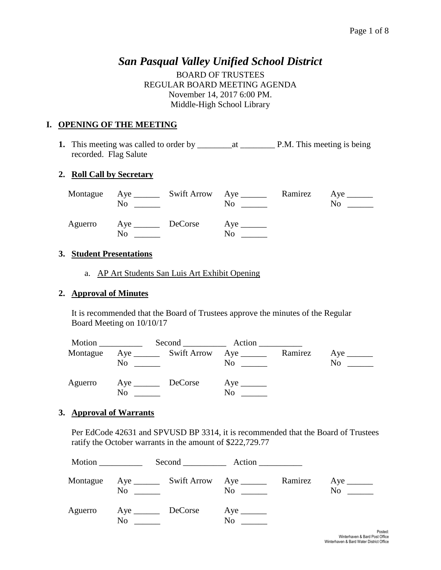# *San Pasqual Valley Unified School District*

BOARD OF TRUSTEES REGULAR BOARD MEETING AGENDA November 14, 2017 6:00 PM. Middle-High School Library

## **I. OPENING OF THE MEETING**

**1.** This meeting was called to order by \_\_\_\_\_\_\_\_at \_\_\_\_\_\_\_\_ P.M. This meeting is being recorded. Flag Salute

## **2. Roll Call by Secretary**

|         | Montague Aye _______<br>No | Swift Arrow Aye _______ | No                            | Ramirez Aye<br>No |
|---------|----------------------------|-------------------------|-------------------------------|-------------------|
| Aguerro | No                         |                         | $Aye$ <sub>______</sub><br>No |                   |

#### **3. Student Presentations**

a. AP Art Students San Luis Art Exhibit Opening

#### **2. Approval of Minutes**

It is recommended that the Board of Trustees approve the minutes of the Regular Board Meeting on 10/10/17

|          |                |         | Second Action                                   |         |     |
|----------|----------------|---------|-------------------------------------------------|---------|-----|
| Montague | N <sub>0</sub> |         | $Aye$ <sub>________</sub><br>$\overline{N_{0}}$ | Ramirez | No. |
| Aguerro  | No             | DeCorse | No                                              |         |     |

#### **3. Approval of Warrants**

Per EdCode 42631 and SPVUSD BP 3314, it is recommended that the Board of Trustees ratify the October warrants in the amount of \$222,729.77

| Motion   |                   | $Second$ $Action$                         |         |     |
|----------|-------------------|-------------------------------------------|---------|-----|
| Montague | No                | $\overline{N}$ $\overline{\phantom{nnn}}$ | Ramirez | No. |
| Aguerro  | Aye DeCorse<br>No | No                                        |         |     |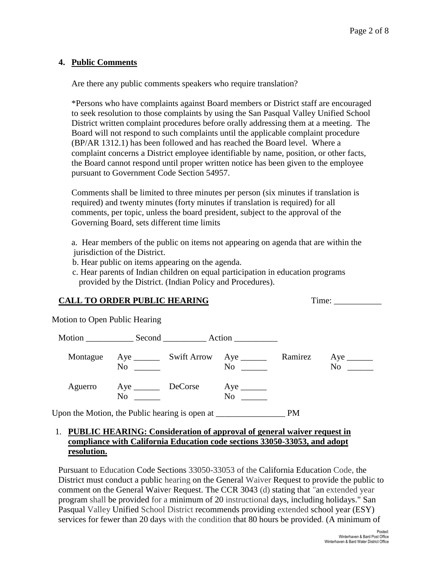#### **4. Public Comments**

Are there any public comments speakers who require translation?

\*Persons who have complaints against Board members or District staff are encouraged to seek resolution to those complaints by using the San Pasqual Valley Unified School District written complaint procedures before orally addressing them at a meeting. The Board will not respond to such complaints until the applicable complaint procedure (BP/AR 1312.1) has been followed and has reached the Board level. Where a complaint concerns a District employee identifiable by name, position, or other facts, the Board cannot respond until proper written notice has been given to the employee pursuant to Government Code Section 54957.

Comments shall be limited to three minutes per person (six minutes if translation is required) and twenty minutes (forty minutes if translation is required) for all comments, per topic, unless the board president, subject to the approval of the Governing Board, sets different time limits

- a. Hear members of the public on items not appearing on agenda that are within the jurisdiction of the District.
- b. Hear public on items appearing on the agenda.
- c. Hear parents of Indian children on equal participation in education programs provided by the District. (Indian Policy and Procedures).

## **CALL TO ORDER PUBLIC HEARING Time:** Time:

Motion to Open Public Hearing

|                                                                                   |                                   | Motion Second Action |           |                                 |
|-----------------------------------------------------------------------------------|-----------------------------------|----------------------|-----------|---------------------------------|
| Montague                                                                          | $\rm No$                          | No                   | Ramirez   | $Aye$ <sub>________</sub><br>No |
| Aguerro                                                                           | Aye _________ DeCorse<br>$\rm No$ | N <sub>0</sub>       |           |                                 |
| Upon the Motion, the Public hearing is open at __________________________________ |                                   |                      | <b>PM</b> |                                 |

## 1. **PUBLIC HEARING: Consideration of approval of general waiver request in compliance with California Education code sections 33050-33053, and adopt resolution.**

Pursuant to Education Code Sections 33050-33053 of the California Education Code, the District must conduct a public hearing on the General Waiver Request to provide the public to comment on the General Waiver Request. The CCR 3043 (d) stating that "an extended year program shall be provided for a minimum of 20 instructional days, including holidays." San Pasqual Valley Unified School District recommends providing extended school year (ESY) services for fewer than 20 days with the condition that 80 hours be provided. (A minimum of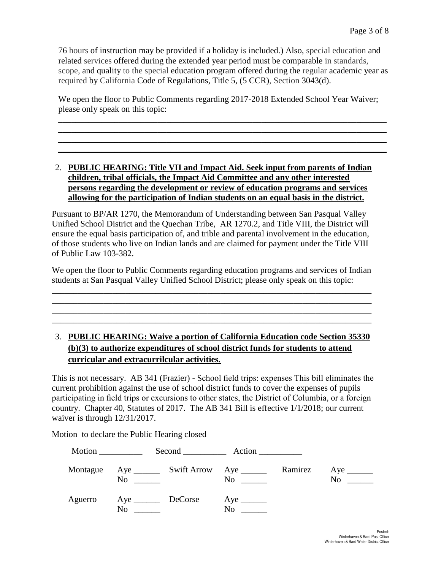76 hours of instruction may be provided if a holiday is included.) Also, special education and related services offered during the extended year period must be comparable in standards, scope, and quality to the special education program offered during the regular academic year as required by California Code of Regulations, Title 5, (5 CCR), Section 3043(d).

We open the floor to Public Comments regarding 2017-2018 Extended School Year Waiver; please only speak on this topic:

\_\_\_\_\_\_\_\_\_\_\_\_\_\_\_\_\_\_\_\_\_\_\_\_\_\_\_\_\_\_\_\_\_\_\_\_\_\_\_\_\_\_\_\_\_\_\_\_\_\_\_\_\_\_\_\_\_\_\_\_\_\_\_\_\_\_\_\_\_\_\_\_\_\_\_\_ \_\_\_\_\_\_\_\_\_\_\_\_\_\_\_\_\_\_\_\_\_\_\_\_\_\_\_\_\_\_\_\_\_\_\_\_\_\_\_\_\_\_\_\_\_\_\_\_\_\_\_\_\_\_\_\_\_\_\_\_\_\_\_\_\_\_\_\_\_\_\_\_\_\_\_\_ \_\_\_\_\_\_\_\_\_\_\_\_\_\_\_\_\_\_\_\_\_\_\_\_\_\_\_\_\_\_\_\_\_\_\_\_\_\_\_\_\_\_\_\_\_\_\_\_\_\_\_\_\_\_\_\_\_\_\_\_\_\_\_\_\_\_\_\_\_\_\_\_\_\_\_\_ \_\_\_\_\_\_\_\_\_\_\_\_\_\_\_\_\_\_\_\_\_\_\_\_\_\_\_\_\_\_\_\_\_\_\_\_\_\_\_\_\_\_\_\_\_\_\_\_\_\_\_\_\_\_\_\_\_\_\_\_\_\_\_\_\_\_\_\_\_\_\_\_\_\_\_\_

#### 2. **PUBLIC HEARING: Title VII and Impact Aid. Seek input from parents of Indian children, tribal officials, the Impact Aid Committee and any other interested persons regarding the development or review of education programs and services allowing for the participation of Indian students on an equal basis in the district.**

Pursuant to BP/AR 1270, the Memorandum of Understanding between San Pasqual Valley Unified School District and the Quechan Tribe, AR 1270.2, and Title VIII, the District will ensure the equal basis participation of, and trible and parental involvement in the education, of those students who live on Indian lands and are claimed for payment under the Title VIII of Public Law 103-382.

We open the floor to Public Comments regarding education programs and services of Indian students at San Pasqual Valley Unified School District; please only speak on this topic:

\_\_\_\_\_\_\_\_\_\_\_\_\_\_\_\_\_\_\_\_\_\_\_\_\_\_\_\_\_\_\_\_\_\_\_\_\_\_\_\_\_\_\_\_\_\_\_\_\_\_\_\_\_\_\_\_\_\_\_\_\_\_\_\_\_\_\_\_\_\_\_\_\_\_ \_\_\_\_\_\_\_\_\_\_\_\_\_\_\_\_\_\_\_\_\_\_\_\_\_\_\_\_\_\_\_\_\_\_\_\_\_\_\_\_\_\_\_\_\_\_\_\_\_\_\_\_\_\_\_\_\_\_\_\_\_\_\_\_\_\_\_\_\_\_\_\_\_\_ \_\_\_\_\_\_\_\_\_\_\_\_\_\_\_\_\_\_\_\_\_\_\_\_\_\_\_\_\_\_\_\_\_\_\_\_\_\_\_\_\_\_\_\_\_\_\_\_\_\_\_\_\_\_\_\_\_\_\_\_\_\_\_\_\_\_\_\_\_\_\_\_\_\_ \_\_\_\_\_\_\_\_\_\_\_\_\_\_\_\_\_\_\_\_\_\_\_\_\_\_\_\_\_\_\_\_\_\_\_\_\_\_\_\_\_\_\_\_\_\_\_\_\_\_\_\_\_\_\_\_\_\_\_\_\_\_\_\_\_\_\_\_\_\_\_\_\_\_

# 3. **PUBLIC HEARING: Waive a portion of California Education code Section 35330 (b)(3) to authorize expenditures of school district funds for students to attend curricular and extracurrilcular activities.**

This is not necessary. AB 341 (Frazier) - School field trips: expenses This bill eliminates the current prohibition against the use of school district funds to cover the expenses of pupils participating in field trips or excursions to other states, the District of Columbia, or a foreign country. Chapter 40, Statutes of 2017. The AB 341 Bill is effective 1/1/2018; our current waiver is through 12/31/2017.

Motion to declare the Public Hearing closed

|          |                             |                                                                                                                                                                                                                                      | Second Action  |         |    |
|----------|-----------------------------|--------------------------------------------------------------------------------------------------------------------------------------------------------------------------------------------------------------------------------------|----------------|---------|----|
| Montague | No                          | <u>and the company of the company of the company of the company of the company of the company of the company of the company of the company of the company of the company of the company of the company of the company of the com</u> | No             | Ramirez | No |
| Aguerro  | Aye _________ DeCorse<br>No |                                                                                                                                                                                                                                      | N <sub>0</sub> |         |    |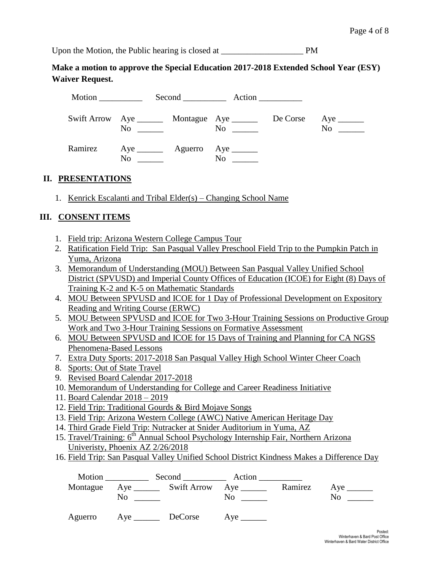Upon the Motion, the Public hearing is closed at PM

**Make a motion to approve the Special Education 2017-2018 Extended School Year (ESY) Waiver Request.** 

|         |    | Second Action                                                  |          |    |
|---------|----|----------------------------------------------------------------|----------|----|
|         | No | Swift Arrow Aye ________ Montague Aye ______<br>N <sub>0</sub> | De Corse | No |
| Ramirez | No | $Aye$ $Ayee$ $Ayee$ $Ayee$<br>No                               |          |    |

## **II. PRESENTATIONS**

1. Kenrick Escalanti and Tribal Elder(s) – Changing School Name

## **III. CONSENT ITEMS**

- 1. Field trip: Arizona Western College Campus Tour
- 2. Ratification Field Trip: San Pasqual Valley Preschool Field Trip to the Pumpkin Patch in Yuma, Arizona
- 3. Memorandum of Understanding (MOU) Between San Pasqual Valley Unified School District (SPVUSD) and Imperial County Offices of Education (ICOE) for Eight (8) Days of Training K-2 and K-5 on Mathematic Standards
- 4. MOU Between SPVUSD and ICOE for 1 Day of Professional Development on Expository Reading and Writing Course (ERWC)
- 5. MOU Between SPVUSD and ICOE for Two 3-Hour Training Sessions on Productive Group Work and Two 3-Hour Training Sessions on Formative Assessment
- 6. MOU Between SPVUSD and ICOE for 15 Days of Training and Planning for CA NGSS Phenomena-Based Lessons
- 7. Extra Duty Sports: 2017-2018 San Pasqual Valley High School Winter Cheer Coach
- 8. Sports: Out of State Travel
- 9. Revised Board Calendar 2017-2018
- 10. Memorandum of Understanding for College and Career Readiness Initiative
- 11. Board Calendar 2018 2019
- 12. Field Trip: Traditional Gourds & Bird Mojave Songs
- 13. Field Trip: Arizona Western College (AWC) Native American Heritage Day
- 14. Third Grade Field Trip: Nutracker at Snider Auditorium in Yuma, AZ
- 15. Travel/Training: 6<sup>th</sup> Annual School Psychology Internship Fair, Northern Arizona Univeristy, Phoenix AZ 2/26/2018
- 16. Field Trip: San Pasqual Valley Unified School District Kindness Makes a Difference Day

|         | No.                   | Montague Aye ________ Swift Arrow Aye ______ | Motion Second Action<br>$\rm No$ | Ramirez | No. |
|---------|-----------------------|----------------------------------------------|----------------------------------|---------|-----|
| Aguerro | Aye _________ DeCorse |                                              |                                  |         |     |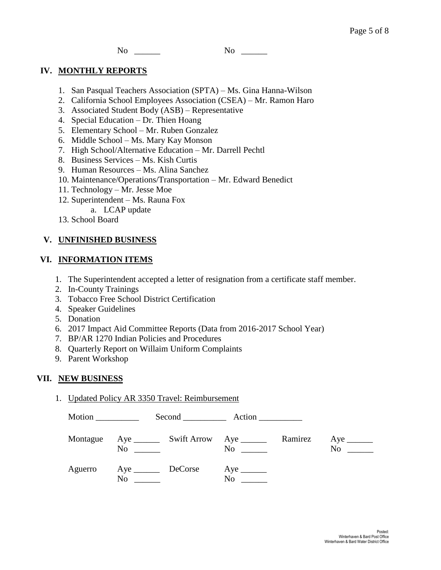No \_\_\_\_\_\_\_\_ No \_\_\_\_\_\_

## **IV. MONTHLY REPORTS**

- 1. San Pasqual Teachers Association (SPTA) Ms. Gina Hanna-Wilson
- 2. California School Employees Association (CSEA) Mr. Ramon Haro
- 3. Associated Student Body (ASB) Representative
- 4. Special Education Dr. Thien Hoang
- 5. Elementary School Mr. Ruben Gonzalez
- 6. Middle School Ms. Mary Kay Monson
- 7. High School/Alternative Education Mr. Darrell Pechtl
- 8. Business Services Ms. Kish Curtis
- 9. Human Resources Ms. Alina Sanchez
- 10. Maintenance/Operations/Transportation Mr. Edward Benedict
- 11. Technology Mr. Jesse Moe
- 12. Superintendent Ms. Rauna Fox
- a. LCAP update
- 13. School Board

# **V. UNFINISHED BUSINESS**

## **VI. INFORMATION ITEMS**

- 1. The Superintendent accepted a letter of resignation from a certificate staff member.
- 2. In-County Trainings
- 3. Tobacco Free School District Certification
- 4. Speaker Guidelines
- 5. Donation
- 6. 2017 Impact Aid Committee Reports (Data from 2016-2017 School Year)
- 7. BP/AR 1270 Indian Policies and Procedures
- 8. Quarterly Report on Willaim Uniform Complaints
- 9. Parent Workshop

## **VII. NEW BUSINESS**

1. Updated Policy AR 3350 Travel: Reimbursement

| Motion ___________ |                   | Second Action |         |                                   |
|--------------------|-------------------|---------------|---------|-----------------------------------|
| Montague           | N <sub>0</sub>    | $\mathbf{No}$ | Ramirez | No<br>$\mathcal{L}=\{1,2,3,4\}$ . |
| Aguerro            | Aye DeCorse<br>No | No            |         |                                   |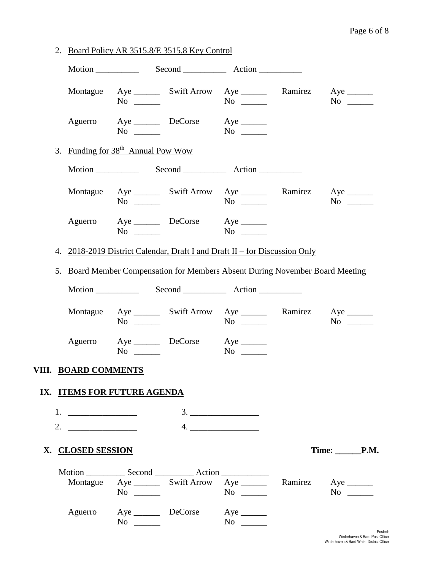|                                |                                                | 2. Board Policy AR 3515.8/E 3515.8 Key Control                                |           |                       |
|--------------------------------|------------------------------------------------|-------------------------------------------------------------------------------|-----------|-----------------------|
|                                |                                                |                                                                               |           |                       |
|                                | $No \_$                                        | Montague Aye ________ Swift Arrow Aye _________ Ramirez Aye ________          |           | $No \ \_$             |
|                                | $No \ \_$                                      | Aguerro Aye DeCorse Aye ________                                              |           |                       |
|                                | 3. Funding for 38 <sup>th</sup> Annual Pow Wow |                                                                               |           |                       |
|                                |                                                |                                                                               |           |                       |
|                                | $No \ \_$                                      | Montague Aye _______ Swift Arrow Aye _______ Ramirez Aye ______               |           | $No \ \_$             |
|                                | $No \ \_$                                      | Aguerro Aye DeCorse Aye                                                       |           |                       |
|                                |                                                | 4. 2018-2019 District Calendar, Draft I and Draft II – for Discussion Only    |           |                       |
|                                |                                                | 5. Board Member Compensation for Members Absent During November Board Meeting |           |                       |
|                                |                                                |                                                                               |           |                       |
|                                | $No \ \_$                                      | Montague Aye ________ Swift Arrow Aye ________ Ramirez Aye _______            | $No \ \_$ | $No \t —$             |
|                                | $No \ \_$                                      | Aguerro Aye DeCorse Aye ________                                              | $No \ \_$ |                       |
| VIII. BOARD COMMENTS           |                                                |                                                                               |           |                       |
|                                | IX. ITEMS FOR FUTURE AGENDA                    |                                                                               |           |                       |
| 1. $\qquad \qquad$             |                                                |                                                                               |           |                       |
| 2. $\overline{\qquad \qquad }$ |                                                |                                                                               |           |                       |
| X. CLOSED SESSION              |                                                |                                                                               |           | $Time: \_\_\_\_\_\_\$ |
|                                | $No \_\_$                                      | Montague Aye ________ Swift Arrow Aye ________ Ramirez Aye _______            | $No \ \_$ | $No \_$               |
| Aguerro                        |                                                | Aye DeCorse Aye ________<br>$No \ \_$                                         | $No \ \_$ |                       |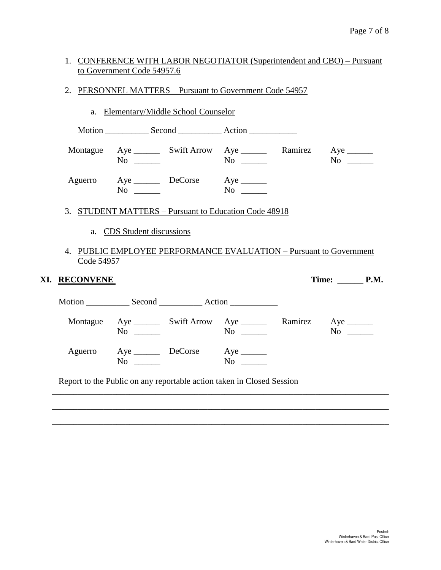# 1. CONFERENCE WITH LABOR NEGOTIATOR (Superintendent and CBO) – Pursuant to Government Code 54957.6

2. PERSONNEL MATTERS – Pursuant to Government Code 54957

|                             |                            | a. Elementary/Middle School Counselor |                                                                                        |            |
|-----------------------------|----------------------------|---------------------------------------|----------------------------------------------------------------------------------------|------------|
|                             |                            |                                       |                                                                                        |            |
|                             | $No \ \_$                  |                                       | Montague Aye ________ Swift Arrow Aye ________ Ramirez Aye _______<br>$\overline{N_0}$ | $No \t —$  |
|                             | $No \ \_$                  | Aguerro Aye DeCorse Aye               | $\overline{N_0}$                                                                       |            |
|                             |                            |                                       | 3. STUDENT MATTERS - Pursuant to Education Code 48918                                  |            |
|                             | a. CDS Student discussions |                                       |                                                                                        |            |
| Code 54957<br>XI. RECONVENE |                            |                                       | 4. PUBLIC EMPLOYEE PERFORMANCE EVALUATION – Pursuant to Government                     | Time: P.M. |
|                             |                            |                                       |                                                                                        |            |
|                             | $No \ \_$                  |                                       | Montague Aye ________ Swift Arrow Aye ________ Ramirez Aye _______<br>$No \ \_$        | $No \ \_$  |
|                             | $No \ \_$                  | Aguerro Aye DeCorse Aye               |                                                                                        |            |
|                             |                            |                                       |                                                                                        |            |
|                             |                            |                                       | Report to the Public on any reportable action taken in Closed Session                  |            |

\_\_\_\_\_\_\_\_\_\_\_\_\_\_\_\_\_\_\_\_\_\_\_\_\_\_\_\_\_\_\_\_\_\_\_\_\_\_\_\_\_\_\_\_\_\_\_\_\_\_\_\_\_\_\_\_\_\_\_\_\_\_\_\_\_\_\_\_\_\_\_\_\_\_\_\_\_\_